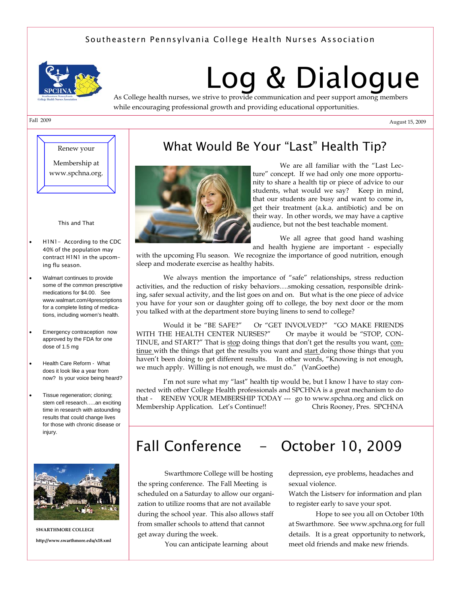# Southeastern Pennsylvania College Health Nurses Association



Fall 2009

# Log & Dialogue

As College health nurses, we strive to provide communication and peer support among members while encouraging professional growth and providing educational opportunities.

August 15, 2009

# Renew your Membership at

www.spchna.org.

#### This and That

- H1N1- According to the CDC 40% of the population may contract H1N1 in the upcoming flu season.
- Walmart continues to provide some of the common prescriptive medications for \$4.00. See www.walmart.com/4prescriptions for a complete listing of medications, including women's health.
- Emergency contraception now approved by the FDA for one dose of 1.5 mg
- Health Care Reform What does it look like a year from now? Is your voice being heard?
- Tissue regeneration; cloning; stem cell research…..an exciting time in research with astounding results that could change lives for those with chronic disease or injury.



**SWARTHMORE COLLEGE http://www.swarthmore.edu/x18.xml** 

# What Would Be Your "Last" Health Tip?



 We are all familiar with the "Last Lecture" concept. If we had only one more opportunity to share a health tip or piece of advice to our students, what would we say? Keep in mind, that our students are busy and want to come in, get their treatment (a.k.a. antibiotic) and be on their way. In other words, we may have a captive audience, but not the best teachable moment.

 We all agree that good hand washing and health hygiene are important - especially

with the upcoming Flu season. We recognize the importance of good nutrition, enough sleep and moderate exercise as healthy habits.

 We always mention the importance of "safe" relationships, stress reduction activities, and the reduction of risky behaviors….smoking cessation, responsible drinking, safer sexual activity, and the list goes on and on. But what is the one piece of advice you have for your son or daughter going off to college, the boy next door or the mom you talked with at the department store buying linens to send to college?

 Would it be "BE SAFE?" Or "GET INVOLVED?" "GO MAKE FRIENDS WITH THE HEALTH CENTER NURSES?" Or maybe it would be "STOP, CON-TINUE, and START?" That is stop doing things that don't get the results you want, continue with the things that get the results you want and start doing those things that you haven't been doing to get different results. In other words, "Knowing is not enough, we much apply. Willing is not enough, we must do." (VanGoethe)

 I'm not sure what my "last" health tip would be, but I know I have to stay connected with other College Health professionals and SPCHNA is a great mechanism to do that - RENEW YOUR MEMBERSHIP TODAY --- go to www.spchna.org and click on Membership Application. Let's Continue!! Chris Rooney, Pres. SPCHNA

 Swarthmore College will be hosting the spring conference. The Fall Meeting is scheduled on a Saturday to allow our organization to utilize rooms that are not available during the school year. This also allows staff from smaller schools to attend that cannot get away during the week.

You can anticipate learning about

# Fall Conference - October 10, 2009

depression, eye problems, headaches and sexual violence.

Watch the Listserv for information and plan to register early to save your spot.

 Hope to see you all on October 10th at Swarthmore. See www.spchna.org for full details. It is a great opportunity to network, meet old friends and make new friends.